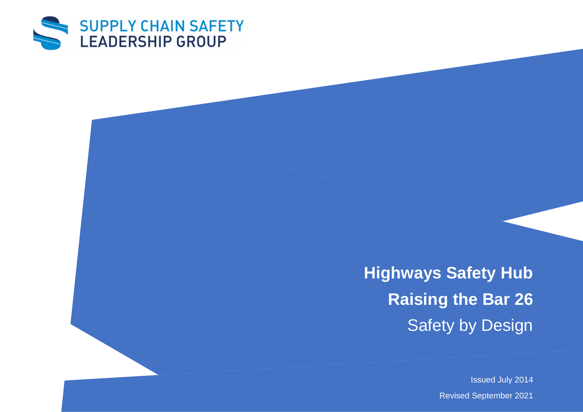

**Highways Safety Hub Raising the Bar 26** Safety by Design

Issued July 2014

Revised September 2021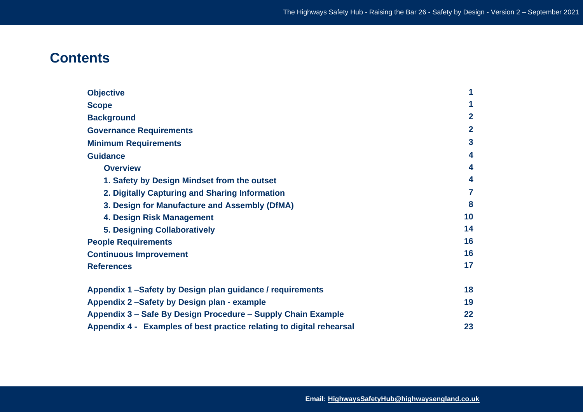# **Contents**

| <b>Objective</b><br><b>Scope</b><br><b>Background</b><br><b>Governance Requirements</b><br><b>Minimum Requirements</b><br><b>Guidance</b><br><b>Overview</b> | 1<br>1<br>$\overline{2}$<br>$\overline{2}$<br>3<br>4<br>4 |                                                |    |
|--------------------------------------------------------------------------------------------------------------------------------------------------------------|-----------------------------------------------------------|------------------------------------------------|----|
|                                                                                                                                                              |                                                           | 1. Safety by Design Mindset from the outset    | 4  |
|                                                                                                                                                              |                                                           | 2. Digitally Capturing and Sharing Information | 7  |
|                                                                                                                                                              |                                                           | 3. Design for Manufacture and Assembly (DfMA)  | 8  |
|                                                                                                                                                              |                                                           | 4. Design Risk Management                      | 10 |
|                                                                                                                                                              |                                                           | <b>5. Designing Collaboratively</b>            | 14 |
|                                                                                                                                                              |                                                           | <b>People Requirements</b>                     | 16 |
| <b>Continuous Improvement</b>                                                                                                                                | 16                                                        |                                                |    |
| <b>References</b>                                                                                                                                            | 17                                                        |                                                |    |
| Appendix 1 -Safety by Design plan guidance / requirements                                                                                                    | 18                                                        |                                                |    |
| Appendix 2-Safety by Design plan - example                                                                                                                   | 19                                                        |                                                |    |
| Appendix 3 – Safe By Design Procedure – Supply Chain Example                                                                                                 | 22                                                        |                                                |    |
| Appendix 4 - Examples of best practice relating to digital rehearsal                                                                                         | 23                                                        |                                                |    |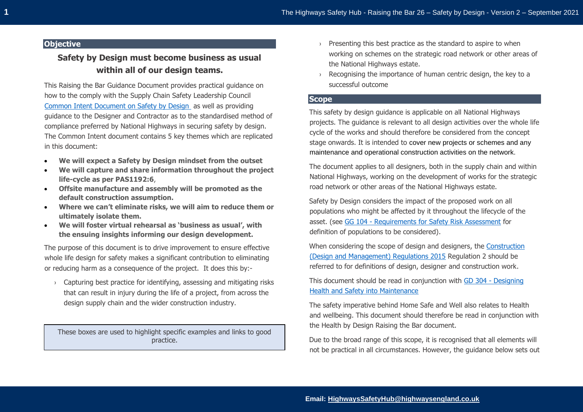# **Objective**

# **Safety by Design must become business as usual within all of our design teams.**

This Raising the Bar Guidance Document provides practical guidance on how to the comply with the Supply Chain Safety Leadership Council [Common Intent Document on Safety by Design](https://www.highwayssafetyhub.com/uploads/5/1/2/9/51294565/common_intent_-_safety_by_design.pdf) as well as providing guidance to the Designer and Contractor as to the standardised method of compliance preferred by National Highways in securing safety by design. The Common Intent document contains 5 key themes which are replicated in this document:

- **We will expect a Safety by Design mindset from the outset**
- **We will capture and share information throughout the project life-cycle as per PAS1192:6**,
- **Offsite manufacture and assembly will be promoted as the default construction assumption.**
- **Where we can't eliminate risks, we will aim to reduce them or ultimately isolate them.**
- **We will foster virtual rehearsal as 'business as usual', with the ensuing insights informing our design development.**

The purpose of this document is to drive improvement to ensure effective whole life design for safety makes a significant contribution to eliminating or reducing harm as a consequence of the project. It does this by:-

› Capturing best practice for identifying, assessing and mitigating risks that can result in injury during the life of a project, from across the design supply chain and the wider construction industry.

These boxes are used to highlight specific examples and links to good practice.

- $\rightarrow$  Presenting this best practice as the standard to aspire to when working on schemes on the strategic road network or other areas of the National Highways estate.
- $\rightarrow$  Recognising the importance of human centric design, the key to a successful outcome

## **Scope**

This safety by design guidance is applicable on all National Highways projects. The guidance is relevant to all design activities over the whole life cycle of the works and should therefore be considered from the concept stage onwards. It is intended to cover new projects or schemes and any maintenance and operational construction activities on the network.

The document applies to all designers, both in the supply chain and within National Highways, working on the development of works for the strategic road network or other areas of the National Highways estate.

Safety by Design considers the impact of the proposed work on all populations who might be affected by it throughout the lifecycle of the asset. (see GG 104 - [Requirements for Safety Risk Assessment](http://www.standardsforhighways.co.uk/ha/standards/dmrb/vol0/section2/GG%20104%20Requirements%20for%20safety%20risk%20assessment-web.pdf) for definition of populations to be considered).

When considering the scope of design and designers, the Construction [\(Design and Management\) Regulations 2015](https://www.legislation.gov.uk/uksi/2015/51/contents/made) Regulation 2 should be referred to for definitions of design, designer and construction work.

This document should be read in conjunction with GD 304 - [Designing](http://www.standardsforhighways.co.uk/ha/standards/dmrb/vol0/section2/GD%20304%20Designing%20health%20and%20safety%20into%20maintenance-web.pdf)  [Health and Safety into Maintenance](http://www.standardsforhighways.co.uk/ha/standards/dmrb/vol0/section2/GD%20304%20Designing%20health%20and%20safety%20into%20maintenance-web.pdf)

The safety imperative behind Home Safe and Well also relates to Health and wellbeing. This document should therefore be read in conjunction with the Health by Design Raising the Bar document.

Due to the broad range of this scope, it is recognised that all elements will not be practical in all circumstances. However, the guidance below sets out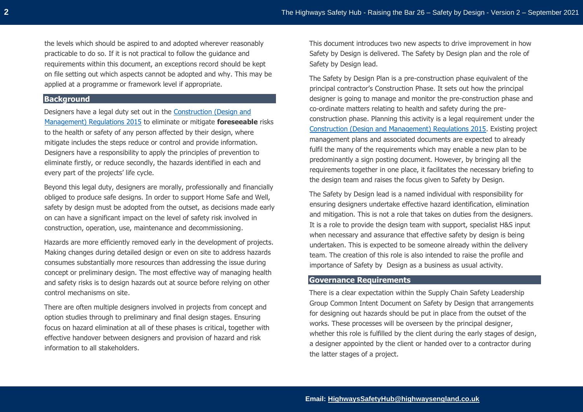the levels which should be aspired to and adopted wherever reasonably practicable to do so. If it is not practical to follow the guidance and requirements within this document, an exceptions record should be kept on file setting out which aspects cannot be adopted and why. This may be applied at a programme or framework level if appropriate.

# **Background**

Designers have a legal duty set out in the [Construction \(Design and](https://www.legislation.gov.uk/uksi/2015/51/contents/made)  [Management\) Regulations 2015](https://www.legislation.gov.uk/uksi/2015/51/contents/made) to eliminate or mitigate **foreseeable** risks to the health or safety of any person affected by their design, where mitigate includes the steps reduce or control and provide information. Designers have a responsibility to apply the principles of prevention to eliminate firstly, or reduce secondly, the hazards identified in each and every part of the projects' life cycle.

Beyond this legal duty, designers are morally, professionally and financially obliged to produce safe designs. In order to support Home Safe and Well, safety by design must be adopted from the outset, as decisions made early on can have a significant impact on the level of safety risk involved in construction, operation, use, maintenance and decommissioning.

Hazards are more efficiently removed early in the development of projects. Making changes during detailed design or even on site to address hazards consumes substantially more resources than addressing the issue during concept or preliminary design. The most effective way of managing health and safety risks is to design hazards out at source before relying on other control mechanisms on site.

There are often multiple designers involved in projects from concept and option studies through to preliminary and final design stages. Ensuring focus on hazard elimination at all of these phases is critical, together with effective handover between designers and provision of hazard and risk information to all stakeholders.

This document introduces two new aspects to drive improvement in how Safety by Design is delivered. The Safety by Design plan and the role of Safety by Design lead.

The Safety by Design Plan is a pre-construction phase equivalent of the principal contractor's Construction Phase. It sets out how the principal designer is going to manage and monitor the pre-construction phase and co-ordinate matters relating to health and safety during the preconstruction phase. Planning this activity is a legal requirement under the [Construction \(Design and Management\) Regulations 2015.](https://www.legislation.gov.uk/uksi/2015/51/contents/made) Existing project management plans and associated documents are expected to already fulfil the many of the requirements which may enable a new plan to be predominantly a sign posting document. However, by bringing all the requirements together in one place, it facilitates the necessary briefing to the design team and raises the focus given to Safety by Design.

The Safety by Design lead is a named individual with responsibility for ensuring designers undertake effective hazard identification, elimination and mitigation. This is not a role that takes on duties from the designers. It is a role to provide the design team with support, specialist H&S input when necessary and assurance that effective safety by design is being undertaken. This is expected to be someone already within the delivery team. The creation of this role is also intended to raise the profile and importance of Safety by Design as a business as usual activity.

# **Governance Requirements**

There is a clear expectation within the Supply Chain Safety Leadership Group Common Intent Document on Safety by Design that arrangements for designing out hazards should be put in place from the outset of the works. These processes will be overseen by the principal designer, whether this role is fulfilled by the client during the early stages of design, a designer appointed by the client or handed over to a contractor during the latter stages of a project.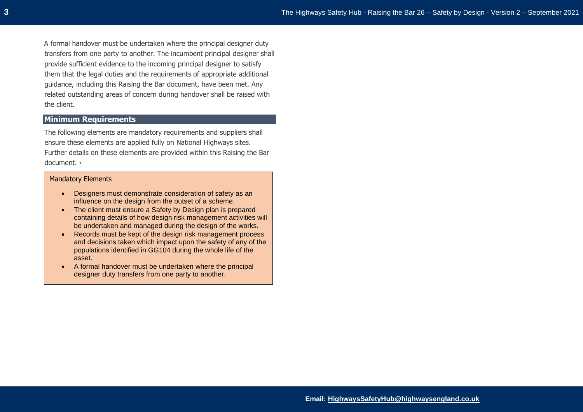A formal handover must be undertaken where the principal designer duty transfers from one party to another. The incumbent principal designer shall provide sufficient evidence to the incoming principal designer to satisfy them that the legal duties and the requirements of appropriate additional guidance, including this Raising the Bar document, have been met. Any related outstanding areas of concern during handover shall be raised with the client.

# **Minimum Requirements**

The following elements are mandatory requirements and suppliers shall ensure these elements are applied fully on National Highways sites. Further details on these elements are provided within this Raising the Bar document. ›

#### Mandatory Elements

- Designers must demonstrate consideration of safety as an influence on the design from the outset of a scheme.
- The client must ensure a Safety by Design plan is prepared containing details of how design risk management activities will be undertaken and managed during the design of the works.
- Records must be kept of the design risk management process and decisions taken which impact upon the safety of any of the populations identified in GG104 during the whole life of the asset.
- A formal handover must be undertaken where the principal designer duty transfers from one party to another.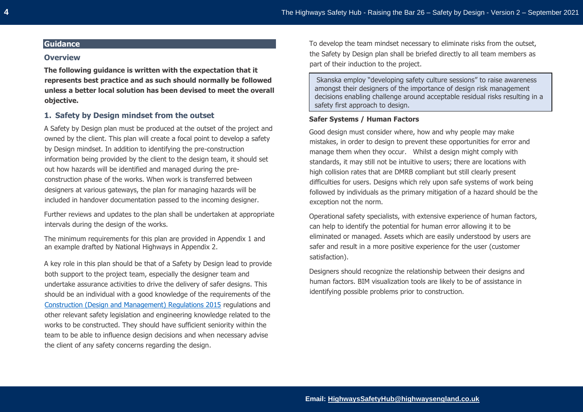# **Guidance**

#### **Overview**

**The following guidance is written with the expectation that it represents best practice and as such should normally be followed unless a better local solution has been devised to meet the overall objective.**

## **1. Safety by Design mindset from the outset**

A Safety by Design plan must be produced at the outset of the project and owned by the client. This plan will create a focal point to develop a safety by Design mindset. In addition to identifying the pre-construction information being provided by the client to the design team, it should set out how hazards will be identified and managed during the preconstruction phase of the works. When work is transferred between designers at various gateways, the plan for managing hazards will be included in handover documentation passed to the incoming designer.

Further reviews and updates to the plan shall be undertaken at appropriate intervals during the design of the works.

The minimum requirements for this plan are provided in Appendix 1 and an example drafted by National Highways in Appendix 2.

A key role in this plan should be that of a Safety by Design lead to provide both support to the project team, especially the designer team and undertake assurance activities to drive the delivery of safer designs. This should be an individual with a good knowledge of the requirements of the [Construction \(Design and Management\) Regulations 2015](https://www.legislation.gov.uk/uksi/2015/51/contents/made) regulations and other relevant safety legislation and engineering knowledge related to the works to be constructed. They should have sufficient seniority within the team to be able to influence design decisions and when necessary advise the client of any safety concerns regarding the design.

To develop the team mindset necessary to eliminate risks from the outset, the Safety by Design plan shall be briefed directly to all team members as part of their induction to the project.

Skanska employ "developing safety culture sessions" to raise awareness amongst their designers of the importance of design risk management decisions enabling challenge around acceptable residual risks resulting in a safety first approach to design.

## **Safer Systems / Human Factors**

Good design must consider where, how and why people may make mistakes, in order to design to prevent these opportunities for error and manage them when they occur. Whilst a design might comply with standards, it may still not be intuitive to users; there are locations with high collision rates that are DMRB compliant but still clearly present difficulties for users. Designs which rely upon safe systems of work being followed by individuals as the primary mitigation of a hazard should be the exception not the norm.

Operational safety specialists, with extensive experience of human factors, can help to identify the potential for human error allowing it to be eliminated or managed. Assets which are easily understood by users are safer and result in a more positive experience for the user (customer satisfaction).

Designers should recognize the relationship between their designs and human factors. BIM visualization tools are likely to be of assistance in identifying possible problems prior to construction.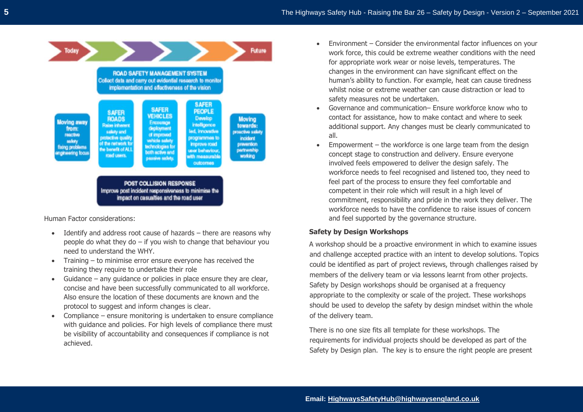

Human Factor considerations:

- Identify and address root cause of hazards there are reasons why people do what they do  $-$  if you wish to change that behaviour you need to understand the WHY.
- Training to minimise error ensure everyone has received the training they require to undertake their role
- Guidance any quidance or policies in place ensure they are clear, concise and have been successfully communicated to all workforce. Also ensure the location of these documents are known and the protocol to suggest and inform changes is clear.
- Compliance ensure monitoring is undertaken to ensure compliance with guidance and policies. For high levels of compliance there must be visibility of accountability and consequences if compliance is not achieved.
- Environment Consider the environmental factor influences on your work force, this could be extreme weather conditions with the need for appropriate work wear or noise levels, temperatures. The changes in the environment can have significant effect on the human's ability to function. For example, heat can cause tiredness whilst noise or extreme weather can cause distraction or lead to safety measures not be undertaken.
- Governance and communication– Ensure workforce know who to contact for assistance, how to make contact and where to seek additional support. Any changes must be clearly communicated to all.
- Empowerment the workforce is one large team from the design concept stage to construction and delivery. Ensure everyone involved feels empowered to deliver the design safely. The workforce needs to feel recognised and listened too, they need to feel part of the process to ensure they feel comfortable and competent in their role which will result in a high level of commitment, responsibility and pride in the work they deliver. The workforce needs to have the confidence to raise issues of concern and feel supported by the governance structure.

# **Safety by Design Workshops**

A workshop should be a proactive environment in which to examine issues and challenge accepted practice with an intent to develop solutions. Topics could be identified as part of project reviews, through challenges raised by members of the delivery team or via lessons learnt from other projects. Safety by Design workshops should be organised at a frequency appropriate to the complexity or scale of the project. These workshops should be used to develop the safety by design mindset within the whole of the delivery team.

There is no one size fits all template for these workshops. The requirements for individual projects should be developed as part of the Safety by Design plan. The key is to ensure the right people are present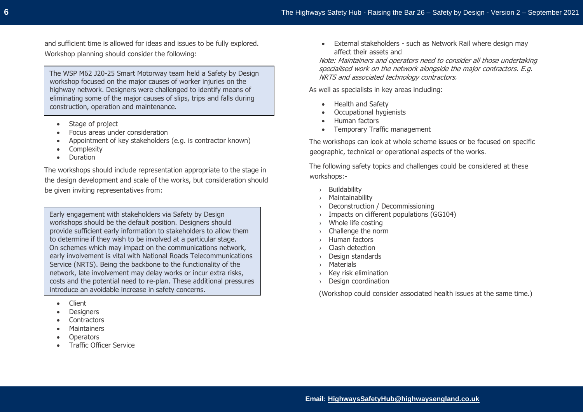and sufficient time is allowed for ideas and issues to be fully explored. Workshop planning should consider the following:

The WSP M62 J20-25 Smart Motorway team held a Safety by Design workshop focused on the major causes of worker injuries on the highway network. Designers were challenged to identify means of eliminating some of the major causes of slips, trips and falls during construction, operation and maintenance.

- Stage of project
- Focus areas under consideration
- Appointment of key stakeholders (e.g. is contractor known)
- **Complexity**
- Duration

The workshops should include representation appropriate to the stage in the design development and scale of the works, but consideration should be given inviting representatives from:

Early engagement with stakeholders via Safety by Design workshops should be the default position. Designers should provide sufficient early information to stakeholders to allow them to determine if they wish to be involved at a particular stage. On schemes which may impact on the communications network, early involvement is vital with National Roads Telecommunications Service (NRTS). Being the backbone to the functionality of the network, late involvement may delay works or incur extra risks, costs and the potential need to re-plan. These additional pressures introduce an avoidable increase in safety concerns.

- Client
- **Designers**
- **Contractors**
- **Maintainers**
- Operators
- Traffic Officer Service

• External stakeholders - such as Network Rail where design may affect their assets and

Note: Maintainers and operators need to consider all those undertaking specialised work on the network alongside the major contractors. E.g. NRTS and associated technology contractors.

As well as specialists in key areas including:

- Health and Safety
- Occupational hygienists
- Human factors
- Temporary Traffic management

The workshops can look at whole scheme issues or be focused on specific geographic, technical or operational aspects of the works.

The following safety topics and challenges could be considered at these workshops:-

- › Buildability
- › Maintainability
- › Deconstruction / Decommissioning
- › Impacts on different populations (GG104)
- › Whole life costing
- $\rightarrow$  Challenge the norm
- › Human factors
- › Clash detection
- › Design standards
- › Materials
- › Key risk elimination
- › Design coordination

(Workshop could consider associated health issues at the same time.)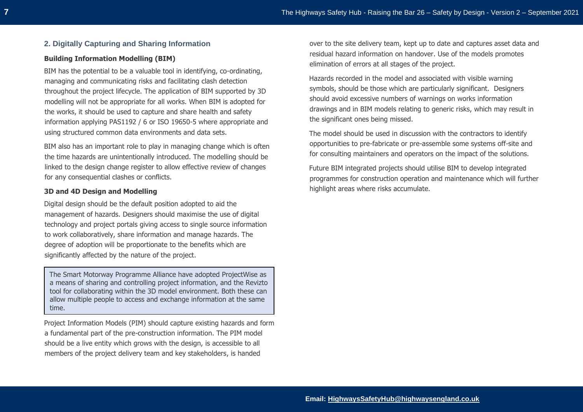# **2. Digitally Capturing and Sharing Information**

## **Building Information Modelling (BIM)**

BIM has the potential to be a valuable tool in identifying, co-ordinating, managing and communicating risks and facilitating clash detection throughout the project lifecycle. The application of BIM supported by 3D modelling will not be appropriate for all works. When BIM is adopted for the works, it should be used to capture and share health and safety information applying PAS1192 / 6 or ISO 19650-5 where appropriate and using structured common data environments and data sets.

BIM also has an important role to play in managing change which is often the time hazards are unintentionally introduced. The modelling should be linked to the design change register to allow effective review of changes for any consequential clashes or conflicts.

#### **3D and 4D Design and Modelling**

Digital design should be the default position adopted to aid the management of hazards. Designers should maximise the use of digital technology and project portals giving access to single source information to work collaboratively, share information and manage hazards. The degree of adoption will be proportionate to the benefits which are significantly affected by the nature of the project.

The Smart Motorway Programme Alliance have adopted ProjectWise as a means of sharing and controlling project information, and the Revizto tool for collaborating within the 3D model environment. Both these can allow multiple people to access and exchange information at the same time.

Project Information Models (PIM) should capture existing hazards and form a fundamental part of the pre-construction information. The PIM model should be a live entity which grows with the design, is accessible to all members of the project delivery team and key stakeholders, is handed

over to the site delivery team, kept up to date and captures asset data and residual hazard information on handover. Use of the models promotes elimination of errors at all stages of the project.

Hazards recorded in the model and associated with visible warning symbols, should be those which are particularly significant. Designers should avoid excessive numbers of warnings on works information drawings and in BIM models relating to generic risks, which may result in the significant ones being missed.

The model should be used in discussion with the contractors to identify opportunities to pre-fabricate or pre-assemble some systems off-site and for consulting maintainers and operators on the impact of the solutions.

Future BIM integrated projects should utilise BIM to develop integrated programmes for construction operation and maintenance which will further highlight areas where risks accumulate.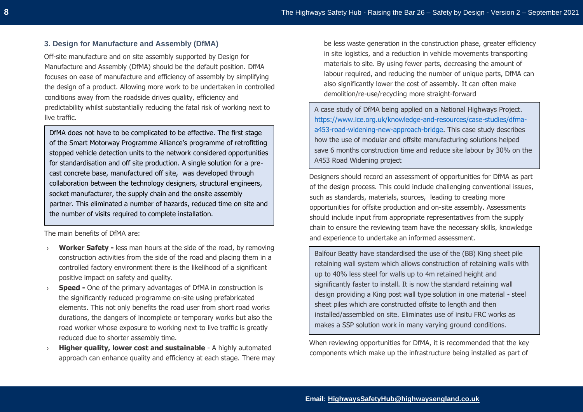# **3. Design for Manufacture and Assembly (DfMA)**

Off-site manufacture and on site assembly supported by Design for Manufacture and Assembly (DfMA) should be the default position. DfMA focuses on ease of manufacture and efficiency of assembly by simplifying the design of a product. Allowing more work to be undertaken in controlled conditions away from the roadside drives quality, efficiency and predictability whilst substantially reducing the fatal risk of working next to live traffic.

DfMA does not have to be complicated to be effective. The first stage of the Smart Motorway Programme Alliance's programme of retrofitting stopped vehicle detection units to the network considered opportunities for standardisation and off site production. A single solution for a precast concrete base, manufactured off site, was developed through collaboration between the technology designers, structural engineers, socket manufacturer, the supply chain and the onsite assembly partner. This eliminated a number of hazards, reduced time on site and the number of visits required to complete installation.

The main benefits of DfMA are:

- › **Worker Safety -** less man hours at the side of the road, by removing construction activities from the side of the road and placing them in a controlled factory environment there is the likelihood of a significant positive impact on safety and quality.
- › **Speed -** One of the primary advantages of DfMA in construction is the significantly reduced programme on-site using prefabricated elements. This not only benefits the road user from short road works durations, the dangers of incomplete or temporary works but also the road worker whose exposure to working next to live traffic is greatly reduced due to shorter assembly time.
- **Higher quality, lower cost and sustainable** A highly automated approach can enhance quality and efficiency at each stage. There may

be less waste generation in the construction phase, greater efficiency in site logistics, and a reduction in vehicle movements transporting materials to site. By using fewer parts, decreasing the amount of labour required, and reducing the number of unique parts, DfMA can also significantly lower the cost of assembly. It can often make demolition/re-use/recycling more straight-forward

A case study of DfMA being applied on a National Highways Project. [https://www.ice.org.uk/knowledge-and-resources/case-studies/dfma](https://eur03.safelinks.protection.outlook.com/?url=https%3A%2F%2Fwww.ice.org.uk%2Fknowledge-and-resources%2Fcase-studies%2Fdfma-a453-road-widening-new-approach-bridge&data=04%7C01%7CMark.Bridges%40Gallifordtry.co.uk%7C1168a114a4284c5bd94a08d8897171e8%7C15813f7f44bc4e8fbab129b341c4f66f%7C1%7C0%7C637410467626230015%7CUnknown%7CTWFpbGZsb3d8eyJWIjoiMC4wLjAwMDAiLCJQIjoiV2luMzIiLCJBTiI6Ik1haWwiLCJXVCI6Mn0%3D%7C1000&sdata=LURPgI3nI5woUDAbRDfqy8lUFFJ4WcVFD70AFQq1AqU%3D&reserved=0)[a453-road-widening-new-approach-bridge.](https://eur03.safelinks.protection.outlook.com/?url=https%3A%2F%2Fwww.ice.org.uk%2Fknowledge-and-resources%2Fcase-studies%2Fdfma-a453-road-widening-new-approach-bridge&data=04%7C01%7CMark.Bridges%40Gallifordtry.co.uk%7C1168a114a4284c5bd94a08d8897171e8%7C15813f7f44bc4e8fbab129b341c4f66f%7C1%7C0%7C637410467626230015%7CUnknown%7CTWFpbGZsb3d8eyJWIjoiMC4wLjAwMDAiLCJQIjoiV2luMzIiLCJBTiI6Ik1haWwiLCJXVCI6Mn0%3D%7C1000&sdata=LURPgI3nI5woUDAbRDfqy8lUFFJ4WcVFD70AFQq1AqU%3D&reserved=0) This case study describes how the use of modular and offsite manufacturing solutions helped save 6 months construction time and reduce site labour by 30% on the A453 Road Widening project

Designers should record an assessment of opportunities for DfMA as part of the design process. This could include challenging conventional issues, such as standards, materials, sources, leading to creating more opportunities for offsite production and on-site assembly. Assessments should include input from appropriate representatives from the supply chain to ensure the reviewing team have the necessary skills, knowledge and experience to undertake an informed assessment.

Balfour Beatty have standardised the use of the (BB) King sheet pile retaining wall system which allows construction of retaining walls with up to 40% less steel for walls up to 4m retained height and significantly faster to install. It is now the standard retaining wall design providing a King post wall type solution in one material - steel sheet piles which are constructed offsite to length and then installed/assembled on site. Eliminates use of insitu FRC works as makes a SSP solution work in many varying ground conditions.

When reviewing opportunities for DfMA, it is recommended that the key components which make up the infrastructure being installed as part of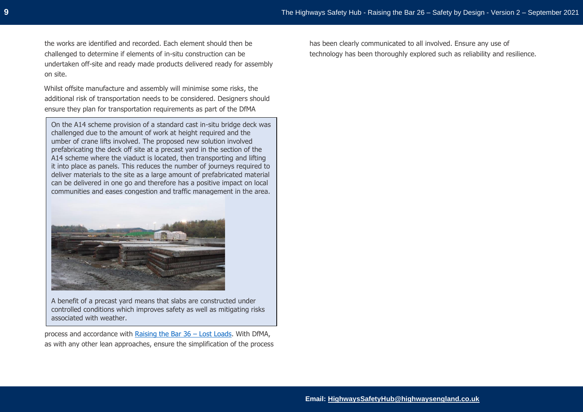the works are identified and recorded. Each element should then be challenged to determine if elements of in-situ construction can be undertaken off-site and ready made products delivered ready for assembly on site.

Whilst offsite manufacture and assembly will minimise some risks, the additional risk of transportation needs to be considered. Designers should ensure they plan for transportation requirements as part of the DfMA

On the A14 scheme provision of a standard cast in-situ bridge deck was challenged due to the amount of work at height required and the umber of crane lifts involved. The proposed new solution involved prefabricating the deck off site at a precast yard in the section of the A14 scheme where the viaduct is located, then transporting and lifting it into place as panels. This reduces the number of journeys required to deliver materials to the site as a large amount of prefabricated material can be delivered in one go and therefore has a positive impact on local communities and eases congestion and traffic management in the area.



A benefit of a precast yard means that slabs are constructed under controlled conditions which improves safety as well as mitigating risks associated with weather.

process and accordance with [Raising the Bar 36](https://www.highwayssafetyhub.com/uploads/5/1/2/9/51294565/rtb36_lost_loads.pdf) – Lost Loads. With DfMA, as with any other lean approaches, ensure the simplification of the process has been clearly communicated to all involved. Ensure any use of technology has been thoroughly explored such as reliability and resilience.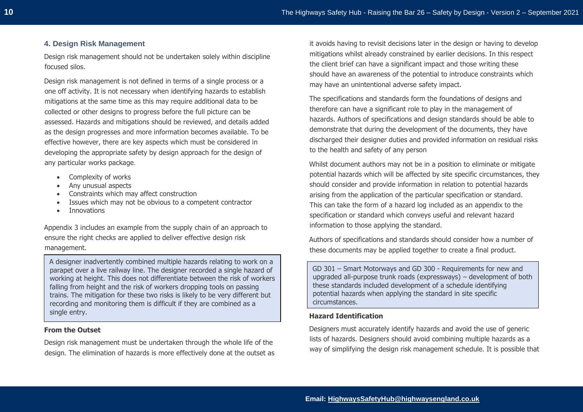# **4. Design Risk Management**

Design risk management should not be undertaken solely within discipline focused silos.

Design risk management is not defined in terms of a single process or a one off activity. It is not necessary when identifying hazards to establish mitigations at the same time as this may require additional data to be collected or other designs to progress before the full picture can be assessed. Hazards and mitigations should be reviewed, and details added as the design progresses and more information becomes available. To be effective however, there are key aspects which must be considered in developing the appropriate safety by design approach for the design of any particular works package.

- Complexity of works
- Any unusual aspects
- Constraints which may affect construction
- Issues which may not be obvious to a competent contractor
- Innovations

Appendix 3 includes an example from the supply chain of an approach to ensure the right checks are applied to deliver effective design risk management.

A designer inadvertently combined multiple hazards relating to work on a parapet over a live railway line. The designer recorded a single hazard of working at height. This does not differentiate between the risk of workers falling from height and the risk of workers dropping tools on passing trains. The mitigation for these two risks is likely to be very different but recording and monitoring them is difficult if they are combined as a single entry.

#### **From the Outset**

Design risk management must be undertaken through the whole life of the design. The elimination of hazards is more effectively done at the outset as

it avoids having to revisit decisions later in the design or having to develop mitigations whilst already constrained by earlier decisions. In this respect the client brief can have a significant impact and those writing these should have an awareness of the potential to introduce constraints which may have an unintentional adverse safety impact.

The specifications and standards form the foundations of designs and therefore can have a significant role to play in the management of hazards. Authors of specifications and design standards should be able to demonstrate that during the development of the documents, they have discharged their designer duties and provided information on residual risks to the health and safety of any person

Whilst document authors may not be in a position to eliminate or mitigate potential hazards which will be affected by site specific circumstances, they should consider and provide information in relation to potential hazards arising from the application of the particular specification or standard. This can take the form of a hazard log included as an appendix to the specification or standard which conveys useful and relevant hazard information to those applying the standard.

Authors of specifications and standards should consider how a number of these documents may be applied together to create a final product.

GD 301 – Smart Motorways and GD 300 - Requirements for new and upgraded all-purpose trunk roads (expressways) – development of both these standards included development of a schedule identifying potential hazards when applying the standard in site specific circumstances.

## **Hazard Identification**

Designers must accurately identify hazards and avoid the use of generic lists of hazards. Designers should avoid combining multiple hazards as a way of simplifying the design risk management schedule. It is possible that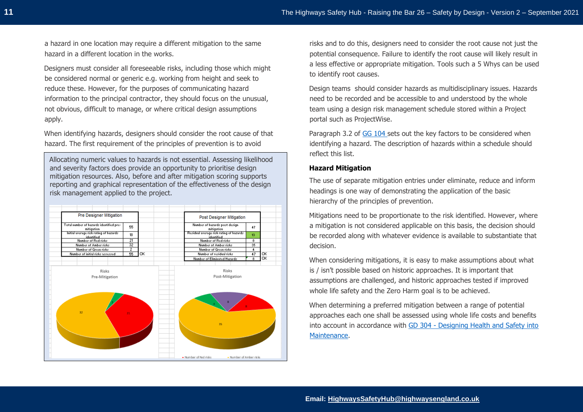a hazard in one location may require a different mitigation to the same hazard in a different location in the works.

Designers must consider all foreseeable risks, including those which might be considered normal or generic e.g. working from height and seek to reduce these. However, for the purposes of communicating hazard information to the principal contractor, they should focus on the unusual, not obvious, difficult to manage, or where critical design assumptions apply.

When identifying hazards, designers should consider the root cause of that hazard. The first requirement of the principles of prevention is to avoid

Allocating numeric values to hazards is not essential. Assessing likelihood and severity factors does provide an opportunity to prioritise design mitigation resources. Also, before and after mitigation scoring supports reporting and graphical representation of the effectiveness of the design risk management applied to the project.



risks and to do this, designers need to consider the root cause not just the potential consequence. Failure to identify the root cause will likely result in a less effective or appropriate mitigation. Tools such a 5 Whys can be used to identify root causes.

Design teams should consider hazards as multidisciplinary issues. Hazards need to be recorded and be accessible to and understood by the whole team using a design risk management schedule stored within a Project portal such as ProjectWise.

Paragraph 3.2 of [GG 104](http://www.standardsforhighways.co.uk/ha/standards/dmrb/vol0/section2/GG%20104%20Requirements%20for%20safety%20risk%20assessment-web.pdf) sets out the key factors to be considered when identifying a hazard. The description of hazards within a schedule should reflect this list.

#### **Hazard Mitigation**

The use of separate mitigation entries under eliminate, reduce and inform headings is one way of demonstrating the application of the basic hierarchy of the principles of prevention.

Mitigations need to be proportionate to the risk identified. However, where a mitigation is not considered applicable on this basis, the decision should be recorded along with whatever evidence is available to substantiate that decision.

When considering mitigations, it is easy to make assumptions about what is / isn't possible based on historic approaches. It is important that assumptions are challenged, and historic approaches tested if improved whole life safety and the Zero Harm goal is to be achieved.

When determining a preferred mitigation between a range of potential approaches each one shall be assessed using whole life costs and benefits into account in accordance with GD 304 - [Designing Health and Safety into](http://www.standardsforhighways.co.uk/ha/standards/dmrb/vol0/section2/GD%20304%20Designing%20health%20and%20safety%20into%20maintenance-web.pdf)  [Maintenance.](http://www.standardsforhighways.co.uk/ha/standards/dmrb/vol0/section2/GD%20304%20Designing%20health%20and%20safety%20into%20maintenance-web.pdf)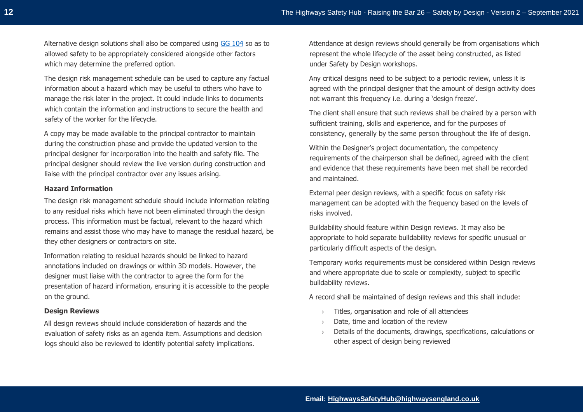Alternative design solutions shall also be compared using [GG 104](http://www.standardsforhighways.co.uk/ha/standards/dmrb/vol0/section2/GG%20104%20Requirements%20for%20safety%20risk%20assessment-web.pdf) so as to allowed safety to be appropriately considered alongside other factors which may determine the preferred option.

The design risk management schedule can be used to capture any factual information about a hazard which may be useful to others who have to manage the risk later in the project. It could include links to documents which contain the information and instructions to secure the health and safety of the worker for the lifecycle.

A copy may be made available to the principal contractor to maintain during the construction phase and provide the updated version to the principal designer for incorporation into the health and safety file. The principal designer should review the live version during construction and liaise with the principal contractor over any issues arising.

#### **Hazard Information**

The design risk management schedule should include information relating to any residual risks which have not been eliminated through the design process. This information must be factual, relevant to the hazard which remains and assist those who may have to manage the residual hazard, be they other designers or contractors on site.

Information relating to residual hazards should be linked to hazard annotations included on drawings or within 3D models. However, the designer must liaise with the contractor to agree the form for the presentation of hazard information, ensuring it is accessible to the people on the ground.

#### **Design Reviews**

All design reviews should include consideration of hazards and the evaluation of safety risks as an agenda item. Assumptions and decision logs should also be reviewed to identify potential safety implications.

Attendance at design reviews should generally be from organisations which represent the whole lifecycle of the asset being constructed, as listed under Safety by Design workshops.

Any critical designs need to be subject to a periodic review, unless it is agreed with the principal designer that the amount of design activity does not warrant this frequency i.e. during a 'design freeze'.

The client shall ensure that such reviews shall be chaired by a person with sufficient training, skills and experience, and for the purposes of consistency, generally by the same person throughout the life of design.

Within the Designer's project documentation, the competency requirements of the chairperson shall be defined, agreed with the client and evidence that these requirements have been met shall be recorded and maintained.

External peer design reviews, with a specific focus on safety risk management can be adopted with the frequency based on the levels of risks involved.

Buildability should feature within Design reviews. It may also be appropriate to hold separate buildability reviews for specific unusual or particularly difficult aspects of the design.

Temporary works requirements must be considered within Design reviews and where appropriate due to scale or complexity, subject to specific buildability reviews.

A record shall be maintained of design reviews and this shall include:

- › Titles, organisation and role of all attendees
- › Date, time and location of the review
- › Details of the documents, drawings, specifications, calculations or other aspect of design being reviewed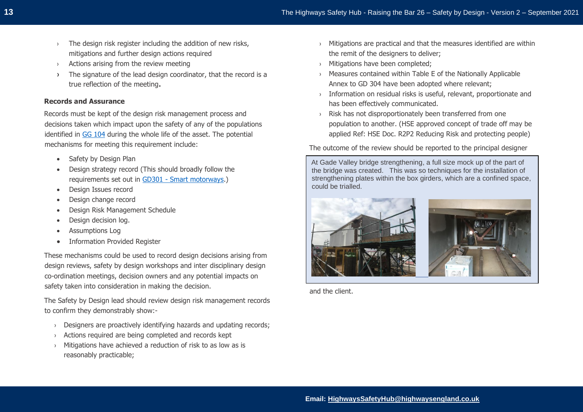- › The design risk register including the addition of new risks, mitigations and further design actions required
- › Actions arising from the review meeting
- › The signature of the lead design coordinator, that the record is a true reflection of the meeting.

#### **Records and Assurance**

Records must be kept of the design risk management process and decisions taken which impact upon the safety of any of the populations identified in [GG 104](http://www.standardsforhighways.co.uk/ha/standards/dmrb/vol0/section2/GG%20104%20Requirements%20for%20safety%20risk%20assessment-web.pdf) during the whole life of the asset. The potential mechanisms for meeting this requirement include:

- Safety by Design Plan
- Design strategy record (This should broadly follow the requirements set out in GD301 - [Smart motorways.](https://www.standardsforhighways.co.uk/dmrb/search/d8c7d4b1-8321-4fdf-b207-400b54f4b73c))
- Design Issues record
- Design change record
- Design Risk Management Schedule
- Design decision log.
- Assumptions Log
- Information Provided Register

These mechanisms could be used to record design decisions arising from design reviews, safety by design workshops and inter disciplinary design co-ordination meetings, decision owners and any potential impacts on safety taken into consideration in making the decision.

The Safety by Design lead should review design risk management records to confirm they demonstrably show:-

- › Designers are proactively identifying hazards and updating records;
- Actions required are being completed and records kept
- › Mitigations have achieved a reduction of risk to as low as is reasonably practicable;
- $\rightarrow$  Mitigations are practical and that the measures identified are within the remit of the designers to deliver;
- › Mitigations have been completed;
- › Measures contained within Table E of the Nationally Applicable Annex to GD 304 have been adopted where relevant;
- › Information on residual risks is useful, relevant, proportionate and has been effectively communicated.
- › Risk has not disproportionately been transferred from one population to another. (HSE approved concept of trade off may be applied Ref: HSE Doc. R2P2 Reducing Risk and protecting people)

The outcome of the review should be reported to the principal designer

At Gade Valley bridge strengthening, a full size mock up of the part of the bridge was created. This was so techniques for the installation of strengthening plates within the box girders, which are a confined space, could be trialled.



and the client.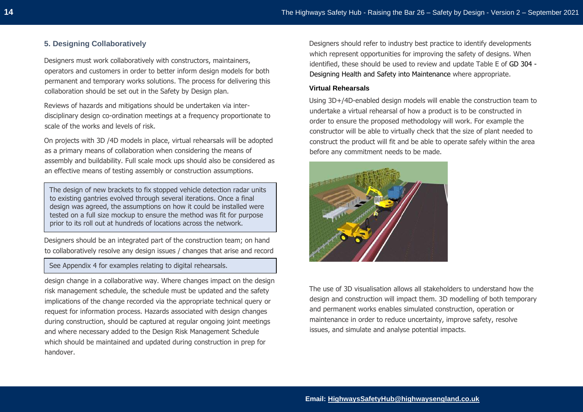# **5. Designing Collaboratively**

Designers must work collaboratively with constructors, maintainers, operators and customers in order to better inform design models for both permanent and temporary works solutions. The process for delivering this collaboration should be set out in the Safety by Design plan.

Reviews of hazards and mitigations should be undertaken via interdisciplinary design co-ordination meetings at a frequency proportionate to scale of the works and levels of risk.

On projects with 3D /4D models in place, virtual rehearsals will be adopted as a primary means of collaboration when considering the means of assembly and buildability. Full scale mock ups should also be considered as an effective means of testing assembly or construction assumptions.

The design of new brackets to fix stopped vehicle detection radar units to existing gantries evolved through several iterations. Once a final design was agreed, the assumptions on how it could be installed were tested on a full size mockup to ensure the method was fit for purpose prior to its roll out at hundreds of locations across the network.

Designers should be an integrated part of the construction team; on hand to collaboratively resolve any design issues / changes that arise and record

See Appendix 4 for examples relating to digital rehearsals.

design change in a collaborative way. Where changes impact on the design risk management schedule, the schedule must be updated and the safety implications of the change recorded via the appropriate technical query or request for information process. Hazards associated with design changes during construction, should be captured at regular ongoing joint meetings and where necessary added to the Design Risk Management Schedule which should be maintained and updated during construction in prep for handover.

Designers should refer to industry best practice to identify developments which represent opportunities for improving the safety of designs. When identified, these should be used to review and update Table E of [GD 304 -](http://www.standardsforhighways.co.uk/ha/standards/dmrb/vol0/section2/GD%20304%20Designing%20health%20and%20safety%20into%20maintenance-web.pdf) [Designing Health and Safety into Maintenance](http://www.standardsforhighways.co.uk/ha/standards/dmrb/vol0/section2/GD%20304%20Designing%20health%20and%20safety%20into%20maintenance-web.pdf) where appropriate.

#### **Virtual Rehearsals**

Using 3D+/4D-enabled design models will enable the construction team to undertake a virtual rehearsal of how a product is to be constructed in order to ensure the proposed methodology will work. For example the constructor will be able to virtually check that the size of plant needed to construct the product will fit and be able to operate safely within the area before any commitment needs to be made.



The use of 3D visualisation allows all stakeholders to understand how the design and construction will impact them. 3D modelling of both temporary and permanent works enables simulated construction, operation or maintenance in order to reduce uncertainty, improve safety, resolve issues, and simulate and analyse potential impacts.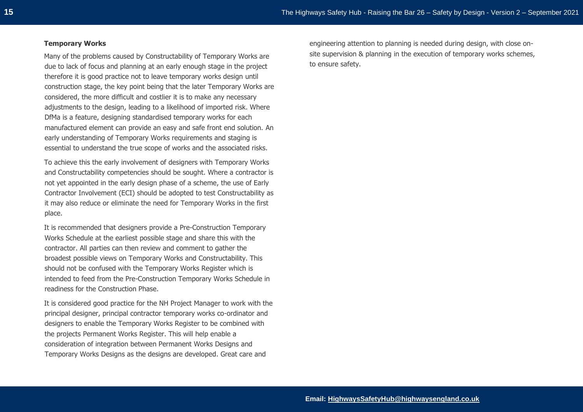#### **Temporary Works**

Many of the problems caused by Constructability of Temporary Works are due to lack of focus and planning at an early enough stage in the project therefore it is good practice not to leave temporary works design until construction stage, the key point being that the later Temporary Works are considered, the more difficult and costlier it is to make any necessary adjustments to the design, leading to a likelihood of imported risk. Where DfMa is a feature, designing standardised temporary works for each manufactured element can provide an easy and safe front end solution. An early understanding of Temporary Works requirements and staging is essential to understand the true scope of works and the associated risks.

To achieve this the early involvement of designers with Temporary Works and Constructability competencies should be sought. Where a contractor is not yet appointed in the early design phase of a scheme, the use of Early Contractor Involvement (ECI) should be adopted to test Constructability as it may also reduce or eliminate the need for Temporary Works in the first place.

It is recommended that designers provide a Pre-Construction Temporary Works Schedule at the earliest possible stage and share this with the contractor. All parties can then review and comment to gather the broadest possible views on Temporary Works and Constructability. This should not be confused with the Temporary Works Register which is intended to feed from the Pre-Construction Temporary Works Schedule in readiness for the Construction Phase.

It is considered good practice for the NH Project Manager to work with the principal designer, principal contractor temporary works co-ordinator and designers to enable the Temporary Works Register to be combined with the projects Permanent Works Register. This will help enable a consideration of integration between Permanent Works Designs and Temporary Works Designs as the designs are developed. Great care and

engineering attention to planning is needed during design, with close onsite supervision & planning in the execution of temporary works schemes, to ensure safety.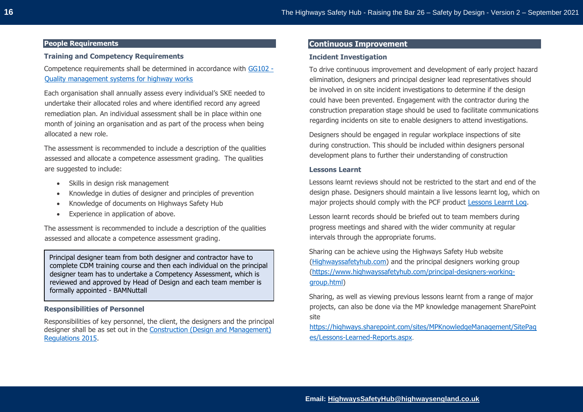## **People Requirements**

## **Training and Competency Requirements**

Competence requirements shall be determined in accordance with [GG102 -](https://www.standardsforhighways.co.uk/prod/attachments/745cf41e-48c1-4096-972a-5a65cc48981c?inline=true) [Quality management systems for highway works](https://www.standardsforhighways.co.uk/prod/attachments/745cf41e-48c1-4096-972a-5a65cc48981c?inline=true)

Each organisation shall annually assess every individual's SKE needed to undertake their allocated roles and where identified record any agreed remediation plan. An individual assessment shall be in place within one month of joining an organisation and as part of the process when being allocated a new role.

The assessment is recommended to include a description of the qualities assessed and allocate a competence assessment grading. The qualities are suggested to include:

- Skills in design risk management
- Knowledge in duties of designer and principles of prevention
- Knowledge of documents on Highways Safety Hub
- Experience in application of above.

The assessment is recommended to include a description of the qualities assessed and allocate a competence assessment grading.

Principal designer team from both designer and contractor have to complete CDM training course and then each individual on the principal designer team has to undertake a Competency Assessment, which is reviewed and approved by Head of Design and each team member is formally appointed - BAMNuttall

# **Responsibilities of Personnel**

Responsibilities of key personnel, the client, the designers and the principal designer shall be as set out in the [Construction \(Design and Management\)](https://www.legislation.gov.uk/uksi/2015/51/contents/made)  [Regulations 2015.](https://www.legislation.gov.uk/uksi/2015/51/contents/made)

# **Continuous Improvement**

## **Incident Investigation**

To drive continuous improvement and development of early project hazard elimination, designers and principal designer lead representatives should be involved in on site incident investigations to determine if the design could have been prevented. Engagement with the contractor during the construction preparation stage should be used to facilitate communications regarding incidents on site to enable designers to attend investigations.

Designers should be engaged in regular workplace inspections of site during construction. This should be included within designers personal development plans to further their understanding of construction

### **Lessons Learnt**

Lessons learnt reviews should not be restricted to the start and end of the design phase. Designers should maintain a live lessons learnt log, which on major projects should comply with the PCF product [Lessons Learnt Log.](https://highways.sharepoint.com/sites/SupplyChainPortal/Major-Projects-Project-Control-Framework/SitePages/Lessons-Learnt-Log.aspx)

Lesson learnt records should be briefed out to team members during progress meetings and shared with the wider community at regular intervals through the appropriate forums.

Sharing can be achieve using the Highways Safety Hub website [\(Highwayssafetyhub.com\)](https://www.highwayssafetyhub.com/) and the principal designers working group [\(https://www.highwayssafetyhub.com/principal-designers-working](https://www.highwayssafetyhub.com/principal-designers-working-group.html)[group.html\)](https://www.highwayssafetyhub.com/principal-designers-working-group.html)

Sharing, as well as viewing previous lessons learnt from a range of major projects, can also be done via the MP knowledge management SharePoint site

[https://highways.sharepoint.com/sites/MPKnowledgeManagement/SitePag](https://highways.sharepoint.com/sites/MPKnowledgeManagement/SitePages/Lessons-Learned-Reports.aspx) [es/Lessons-Learned-Reports.aspx](https://highways.sharepoint.com/sites/MPKnowledgeManagement/SitePages/Lessons-Learned-Reports.aspx).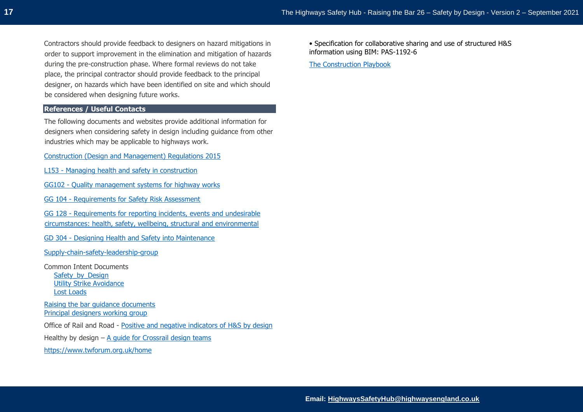Contractors should provide feedback to designers on hazard mitigations in order to support improvement in the elimination and mitigation of hazards during the pre-construction phase. Where formal reviews do not take place, the principal contractor should provide feedback to the principal designer, on hazards which have been identified on site and which should be considered when designing future works.

# **References / Useful Contacts**

The following documents and websites provide additional information for designers when considering safety in design including guidance from other industries which may be applicable to highways work.

[Construction \(Design and Management\) Regulations 2015](https://www.legislation.gov.uk/uksi/2015/51/contents/made)

- L153 [Managing health and safety in construction](https://www.hse.gov.uk/pubns/books/l153.htm)
- GG102 [Quality management systems for highway works](https://www.standardsforhighways.co.uk/prod/attachments/745cf41e-48c1-4096-972a-5a65cc48981c?inline=true)
- GG 104 [Requirements for Safety Risk Assessment](http://www.standardsforhighways.co.uk/ha/standards/dmrb/vol0/section2/GG%20104%20Requirements%20for%20safety%20risk%20assessment-web.pdf)

GG 128 - [Requirements for reporting incidents, events and undesirable](https://www.standardsforhighways.co.uk/prod/attachments/2995a4fe-8faf-4e65-8ce8-b6b8bf416e74)  [circumstances: health, safety, wellbeing, structural and environmental](https://www.standardsforhighways.co.uk/prod/attachments/2995a4fe-8faf-4e65-8ce8-b6b8bf416e74)

GD 304 - [Designing Health and Safety into Maintenance](http://www.standardsforhighways.co.uk/ha/standards/dmrb/vol0/section2/GD%20304%20Designing%20health%20and%20safety%20into%20maintenance-web.pdf)

[Supply-chain-safety-leadership-group](https://www.highwayssafetyhub.com/supply-chain-safety-leadership-group-about.html)

Common Intent Documents [Safety\\_by\\_Design](https://www.highwayssafetyhub.com/uploads/5/1/2/9/51294565/common_intent_-_safety_by_design.pdf) [Utility Strike Avoidance](https://www.highwayssafetyhub.com/uploads/5/1/2/9/51294565/common_intent_-_utility_strike_avoidance_-_final_v1.2a.pdf) [Lost Loads](https://www.highwayssafetyhub.com/uploads/5/1/2/9/51294565/common_intent_-_lost_load_avoidance_final_-_rev_1.0.pdf)

[Raising the bar guidance documents](https://www.highwayssafetyhub.com/raising-the-bar-guidance.html) [Principal designers working group](https://www.highwayssafetyhub.com/principal-designers-working-group.html)

Office of Rail and Road - [Positive and negative indicators of](http://orr.gov.uk/__data/assets/pdf_file/0019/22159/positive-and-negative-indicators-for-health-and-safety-by-design.pdf) H&S by design

Healthy by design  $- A$  quide for Crossrail design teams

<https://www.twforum.org.uk/home>

• Specification for collaborative sharing and use of structured H&S information using BIM: PAS-1192-6

[The Construction Playbook](https://assets.publishing.service.gov.uk/government/uploads/system/uploads/attachment_data/file/941536/The_Construction_Playbook.pdf)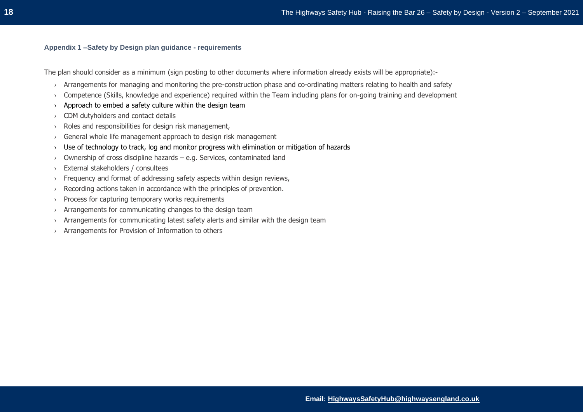#### **Appendix 1 –Safety by Design plan guidance - requirements**

The plan should consider as a minimum (sign posting to other documents where information already exists will be appropriate):-

- › Arrangements for managing and monitoring the pre-construction phase and co-ordinating matters relating to health and safety
- › Competence (Skills, knowledge and experience) required within the Team including plans for on-going training and development
- $\rightarrow$  Approach to embed a safety culture within the design team
- › CDM dutyholders and contact details
- › Roles and responsibilities for design risk management,
- › General whole life management approach to design risk management
- › Use of technology to track, log and monitor progress with elimination or mitigation of hazards
- › Ownership of cross discipline hazards e.g. Services, contaminated land
- › External stakeholders / consultees
- › Frequency and format of addressing safety aspects within design reviews,
- › Recording actions taken in accordance with the principles of prevention.
- › Process for capturing temporary works requirements
- › Arrangements for communicating changes to the design team
- $\rightarrow$  Arrangements for communicating latest safety alerts and similar with the design team
- › Arrangements for Provision of Information to others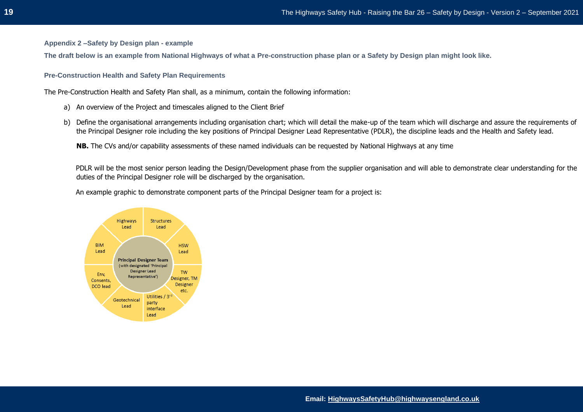**Appendix 2 –Safety by Design plan - example**

**The draft below is an example from National Highways of what a Pre-construction phase plan or a Safety by Design plan might look like.**

**Pre-Construction Health and Safety Plan Requirements** 

The Pre-Construction Health and Safety Plan shall, as a minimum, contain the following information:

- a) An overview of the Project and timescales aligned to the Client Brief
- b) Define the organisational arrangements including organisation chart; which will detail the make-up of the team which will discharge and assure the requirements of the Principal Designer role including the key positions of Principal Designer Lead Representative (PDLR), the discipline leads and the Health and Safety lead.

**NB.** The CVs and/or capability assessments of these named individuals can be requested by National Highways at any time

PDLR will be the most senior person leading the Design/Development phase from the supplier organisation and will able to demonstrate clear understanding for the duties of the Principal Designer role will be discharged by the organisation.

An example graphic to demonstrate component parts of the Principal Designer team for a project is:

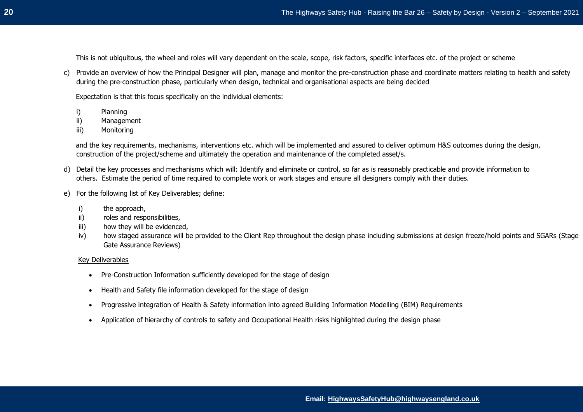This is not ubiquitous, the wheel and roles will vary dependent on the scale, scope, risk factors, specific interfaces etc. of the project or scheme

c) Provide an overview of how the Principal Designer will plan, manage and monitor the pre-construction phase and coordinate matters relating to health and safety during the pre-construction phase, particularly when design, technical and organisational aspects are being decided

Expectation is that this focus specifically on the individual elements:

- i) Planning
- ii) Management
- iii) Monitoring

and the key requirements, mechanisms, interventions etc. which will be implemented and assured to deliver optimum H&S outcomes during the design, construction of the project/scheme and ultimately the operation and maintenance of the completed asset/s.

- d) Detail the key processes and mechanisms which will: Identify and eliminate or control, so far as is reasonably practicable and provide information to others. Estimate the period of time required to complete work or work stages and ensure all designers comply with their duties.
- e) For the following list of Key Deliverables; define:
	- i) the approach,
	- ii) roles and responsibilities,
	- iii) how they will be evidenced,
	- iv) how staged assurance will be provided to the Client Rep throughout the design phase including submissions at design freeze/hold points and SGARs (Stage Gate Assurance Reviews)

#### Key Deliverables

- Pre-Construction Information sufficiently developed for the stage of design
- Health and Safety file information developed for the stage of design
- Progressive integration of Health & Safety information into agreed Building Information Modelling (BIM) Requirements
- Application of hierarchy of controls to safety and Occupational Health risks highlighted during the design phase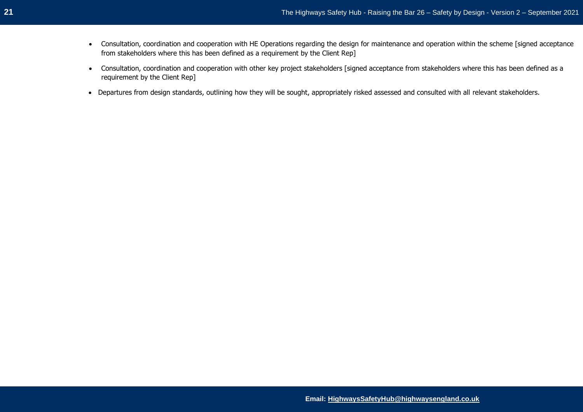- Consultation, coordination and cooperation with HE Operations regarding the design for maintenance and operation within the scheme [signed acceptance from stakeholders where this has been defined as a requirement by the Client Rep]
- Consultation, coordination and cooperation with other key project stakeholders [signed acceptance from stakeholders where this has been defined as a requirement by the Client Rep]
- Departures from design standards, outlining how they will be sought, appropriately risked assessed and consulted with all relevant stakeholders.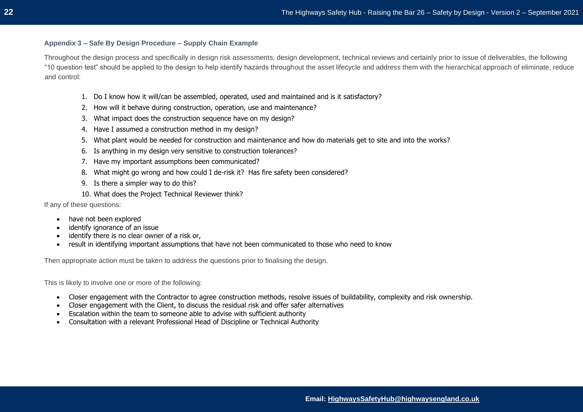#### **Appendix 3 – Safe By Design Procedure – Supply Chain Example**

Throughout the design process and specifically in design risk assessments, design development, technical reviews and certainly prior to issue of deliverables, the following "10 question test" should be applied to the design to help identify hazards throughout the asset lifecycle and address them with the hierarchical approach of eliminate, reduce and control:

- 1. Do I know how it will/can be assembled, operated, used and maintained and is it satisfactory?
- 2. How will it behave during construction, operation, use and maintenance?
- 3. What impact does the construction sequence have on my design?
- 4. Have I assumed a construction method in my design?
- 5. What plant would be needed for construction and maintenance and how do materials get to site and into the works?
- 6. Is anything in my design very sensitive to construction tolerances?
- 7. Have my important assumptions been communicated?
- 8. What might go wrong and how could I de-risk it? Has fire safety been considered?
- 9. Is there a simpler way to do this?
- 10. What does the Project Technical Reviewer think?

If any of these questions:

- have not been explored
- identify ignorance of an issue
- identify there is no clear owner of a risk or,
- result in identifying important assumptions that have not been communicated to those who need to know

Then appropriate action must be taken to address the questions prior to finalising the design.

This is likely to involve one or more of the following:

- Closer engagement with the Contractor to agree construction methods, resolve issues of buildability, complexity and risk ownership.
- Closer engagement with the Client, to discuss the residual risk and offer safer alternatives
- Escalation within the team to someone able to advise with sufficient authority
- Consultation with a relevant Professional Head of Discipline or Technical Authority